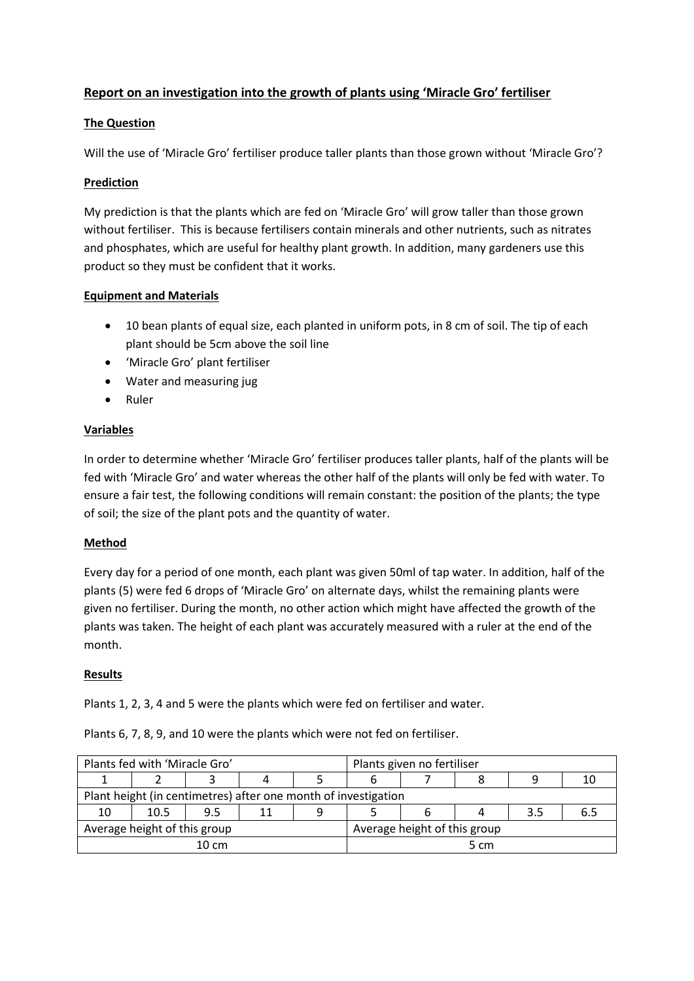# **Report on an investigation into the growth of plants using 'Miracle Gro' fertiliser**

### **The Question**

Will the use of 'Miracle Gro' fertiliser produce taller plants than those grown without 'Miracle Gro'?

### **Prediction**

My prediction is that the plants which are fed on 'Miracle Gro' will grow taller than those grown without fertiliser. This is because fertilisers contain minerals and other nutrients, such as nitrates and phosphates, which are useful for healthy plant growth. In addition, many gardeners use this product so they must be confident that it works.

## **Equipment and Materials**

- 10 bean plants of equal size, each planted in uniform pots, in 8 cm of soil. The tip of each plant should be 5cm above the soil line
- 'Miracle Gro' plant fertiliser
- Water and measuring jug
- Ruler

#### **Variables**

In order to determine whether 'Miracle Gro' fertiliser produces taller plants, half of the plants will be fed with 'Miracle Gro' and water whereas the other half of the plants will only be fed with water. To ensure a fair test, the following conditions will remain constant: the position of the plants; the type of soil; the size of the plant pots and the quantity of water.

## **Method**

Every day for a period of one month, each plant was given 50ml of tap water. In addition, half of the plants (5) were fed 6 drops of 'Miracle Gro' on alternate days, whilst the remaining plants were given no fertiliser. During the month, no other action which might have affected the growth of the plants was taken. The height of each plant was accurately measured with a ruler at the end of the month.

#### **Results**

Plants 1, 2, 3, 4 and 5 were the plants which were fed on fertiliser and water.

| Plants fed with 'Miracle Gro'                                  |      |     |    |   | Plants given no fertiliser   |  |  |     |  |
|----------------------------------------------------------------|------|-----|----|---|------------------------------|--|--|-----|--|
|                                                                |      |     |    |   |                              |  |  |     |  |
| Plant height (in centimetres) after one month of investigation |      |     |    |   |                              |  |  |     |  |
| 10                                                             | 10.5 | 9.5 | 11 | 9 |                              |  |  | 3.5 |  |
| Average height of this group                                   |      |     |    |   | Average height of this group |  |  |     |  |
| $10 \text{ cm}$                                                |      |     |    |   | 5 cm                         |  |  |     |  |

Plants 6, 7, 8, 9, and 10 were the plants which were not fed on fertiliser.